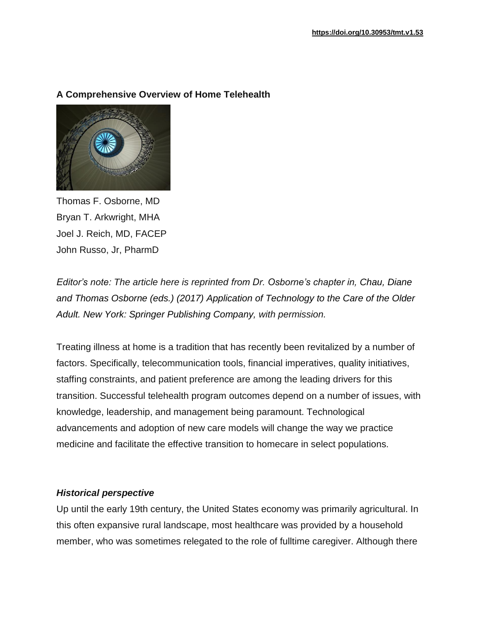# **A Comprehensive Overview of Home Telehealth**



Thomas F. Osborne, MD Bryan T. Arkwright, MHA Joel J. Reich, MD, FACEP John Russo, Jr, PharmD

*Editor's note: The article here is reprinted from Dr. Osborne's chapter in, Chau, Diane and Thomas Osborne (eds.) (2017) Application of Technology to the Care of the Older Adult. New York: Springer Publishing Company, with permission.*

Treating illness at home is a tradition that has recently been revitalized by a number of factors. Specifically, telecommunication tools, financial imperatives, quality initiatives, staffing constraints, and patient preference are among the leading drivers for this transition. Successful telehealth program outcomes depend on a number of issues, with knowledge, leadership, and management being paramount. Technological advancements and adoption of new care models will change the way we practice medicine and facilitate the effective transition to homecare in select populations.

# *Historical perspective*

Up until the early 19th century, the United States economy was primarily agricultural. In this often expansive rural landscape, most healthcare was provided by a household member, who was sometimes relegated to the role of fulltime caregiver. Although there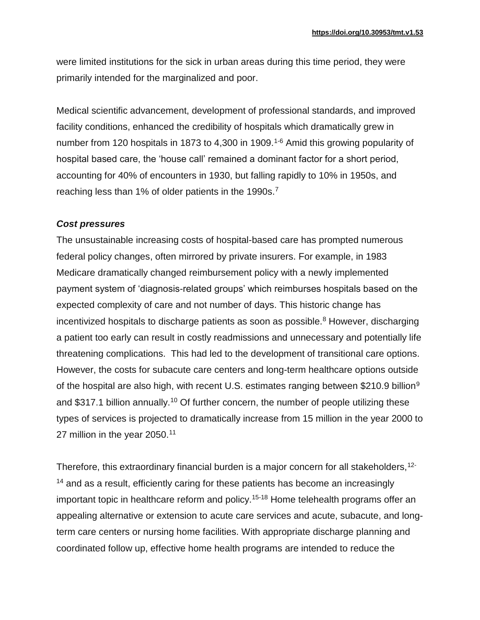were limited institutions for the sick in urban areas during this time period, they were primarily intended for the marginalized and poor.

Medical scientific advancement, development of professional standards, and improved facility conditions, enhanced the credibility of hospitals which dramatically grew in number from 120 hospitals in 1873 to 4,300 in 1909.<sup>1-6</sup> Amid this growing popularity of hospital based care, the 'house call' remained a dominant factor for a short period, accounting for 40% of encounters in 1930, but falling rapidly to 10% in 1950s, and reaching less than 1% of older patients in the 1990s.<sup>7</sup>

#### *Cost pressures*

The unsustainable increasing costs of hospital-based care has prompted numerous federal policy changes, often mirrored by private insurers. For example, in 1983 Medicare dramatically changed reimbursement policy with a newly implemented payment system of 'diagnosis-related groups' which reimburses hospitals based on the expected complexity of care and not number of days. This historic change has incentivized hospitals to discharge patients as soon as possible.<sup>8</sup> However, discharging a patient too early can result in costly readmissions and unnecessary and potentially life threatening complications. This had led to the development of transitional care options. However, the costs for subacute care centers and long-term healthcare options outside of the hospital are also high, with recent U.S. estimates ranging between \$210.9 billion<sup>9</sup> and \$317.1 billion annually.<sup>10</sup> Of further concern, the number of people utilizing these types of services is projected to dramatically increase from 15 million in the year 2000 to 27 million in the year 2050.<sup>11</sup>

Therefore, this extraordinary financial burden is a major concern for all stakeholders,<sup>12-</sup> <sup>14</sup> and as a result, efficiently caring for these patients has become an increasingly important topic in healthcare reform and policy.<sup>15-18</sup> Home telehealth programs offer an appealing alternative or extension to acute care services and acute, subacute, and longterm care centers or nursing home facilities. With appropriate discharge planning and coordinated follow up, effective home health programs are intended to reduce the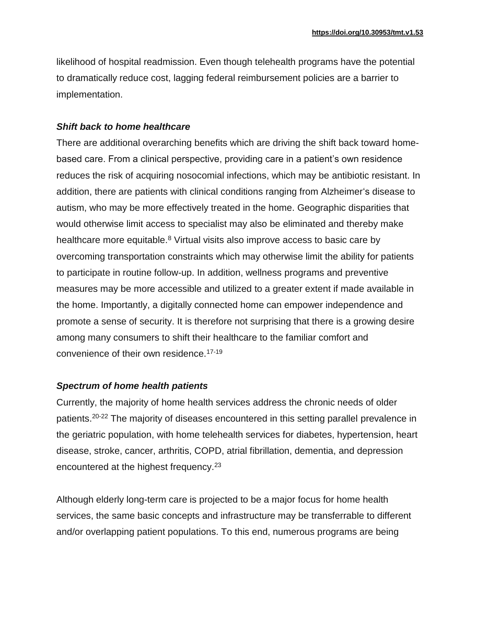likelihood of hospital readmission. Even though telehealth programs have the potential to dramatically reduce cost, lagging federal reimbursement policies are a barrier to implementation.

#### *Shift back to home healthcare*

There are additional overarching benefits which are driving the shift back toward homebased care. From a clinical perspective, providing care in a patient's own residence reduces the risk of acquiring nosocomial infections, which may be antibiotic resistant. In addition, there are patients with clinical conditions ranging from Alzheimer's disease to autism, who may be more effectively treated in the home. Geographic disparities that would otherwise limit access to specialist may also be eliminated and thereby make healthcare more equitable.<sup>8</sup> Virtual visits also improve access to basic care by overcoming transportation constraints which may otherwise limit the ability for patients to participate in routine follow-up. In addition, wellness programs and preventive measures may be more accessible and utilized to a greater extent if made available in the home. Importantly, a digitally connected home can empower independence and promote a sense of security. It is therefore not surprising that there is a growing desire among many consumers to shift their healthcare to the familiar comfort and convenience of their own residence.17-19

# *Spectrum of home health patients*

Currently, the majority of home health services address the chronic needs of older patients.20-22 The majority of diseases encountered in this setting parallel prevalence in the geriatric population, with home telehealth services for diabetes, hypertension, heart disease, stroke, cancer, arthritis, COPD, atrial fibrillation, dementia, and depression encountered at the highest frequency.<sup>23</sup>

Although elderly long-term care is projected to be a major focus for home health services, the same basic concepts and infrastructure may be transferrable to different and/or overlapping patient populations. To this end, numerous programs are being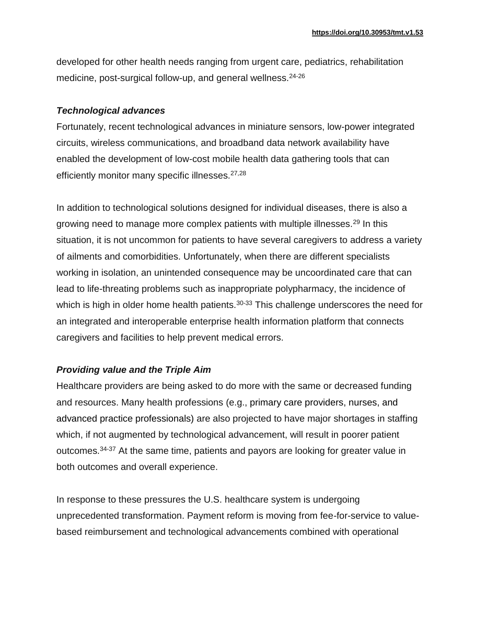developed for other health needs ranging from urgent care, pediatrics, rehabilitation medicine, post-surgical follow-up, and general wellness.<sup>24-26</sup>

# *Technological advances*

Fortunately, recent technological advances in miniature sensors, low-power integrated circuits, wireless communications, and broadband data network availability have enabled the development of low-cost mobile health data gathering tools that can efficiently monitor many specific illnesses.<sup>27,28</sup>

In addition to technological solutions designed for individual diseases, there is also a growing need to manage more complex patients with multiple illnesses.<sup>29</sup> In this situation, it is not uncommon for patients to have several caregivers to address a variety of ailments and comorbidities. Unfortunately, when there are different specialists working in isolation, an unintended consequence may be uncoordinated care that can lead to life-threating problems such as inappropriate polypharmacy, the incidence of which is high in older home health patients. $30-33$  This challenge underscores the need for an integrated and interoperable enterprise health information platform that connects caregivers and facilities to help prevent medical errors.

# *Providing value and the Triple Aim*

Healthcare providers are being asked to do more with the same or decreased funding and resources. Many health professions (e.g., primary care providers, nurses, and advanced practice professionals) are also projected to have major shortages in staffing which, if not augmented by technological advancement, will result in poorer patient outcomes.34-37 At the same time, patients and payors are looking for greater value in both outcomes and overall experience.

In response to these pressures the U.S. healthcare system is undergoing unprecedented transformation. Payment reform is moving from fee-for-service to valuebased reimbursement and technological advancements combined with operational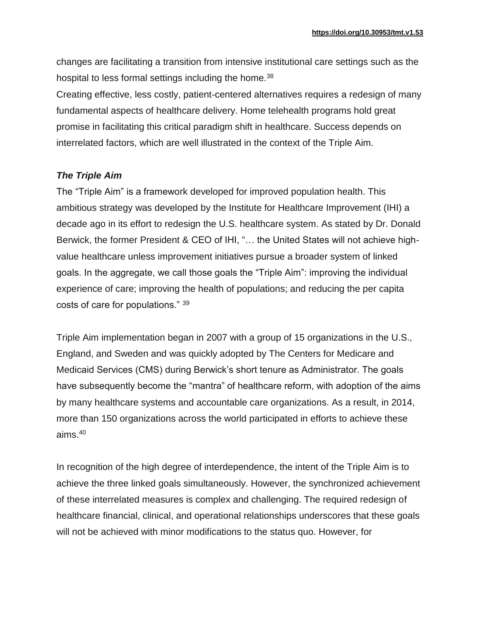changes are facilitating a transition from intensive institutional care settings such as the hospital to less formal settings including the home.<sup>38</sup>

Creating effective, less costly, patient-centered alternatives requires a redesign of many fundamental aspects of healthcare delivery. Home telehealth programs hold great promise in facilitating this critical paradigm shift in healthcare. Success depends on interrelated factors, which are well illustrated in the context of the Triple Aim.

# *The Triple Aim*

The "Triple Aim" is a framework developed for improved population health. This ambitious strategy was developed by the Institute for Healthcare Improvement (IHI) a decade ago in its effort to redesign the U.S. healthcare system. As stated by Dr. Donald Berwick, the former President & CEO of IHI, "… the United States will not achieve highvalue healthcare unless improvement initiatives pursue a broader system of linked goals. In the aggregate, we call those goals the "Triple Aim": improving the individual experience of care; improving the health of populations; and reducing the per capita costs of care for populations." <sup>39</sup>

Triple Aim implementation began in 2007 with a group of 15 organizations in the U.S., England, and Sweden and was quickly adopted by The Centers for Medicare and Medicaid Services (CMS) during Berwick's short tenure as Administrator. The goals have subsequently become the "mantra" of healthcare reform, with adoption of the aims by many healthcare systems and accountable care organizations. As a result, in 2014, more than 150 organizations across the world participated in efforts to achieve these aims.<sup>40</sup>

In recognition of the high degree of interdependence, the intent of the Triple Aim is to achieve the three linked goals simultaneously. However, the synchronized achievement of these interrelated measures is complex and challenging. The required redesign of healthcare financial, clinical, and operational relationships underscores that these goals will not be achieved with minor modifications to the status quo. However, for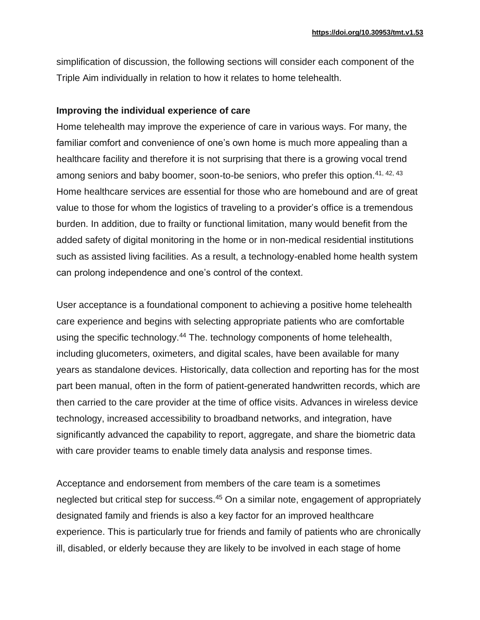simplification of discussion, the following sections will consider each component of the Triple Aim individually in relation to how it relates to home telehealth.

### **Improving the individual experience of care**

Home telehealth may improve the experience of care in various ways. For many, the familiar comfort and convenience of one's own home is much more appealing than a healthcare facility and therefore it is not surprising that there is a growing vocal trend among seniors and baby boomer, soon-to-be seniors, who prefer this option.<sup>41, 42, 43</sup> Home healthcare services are essential for those who are homebound and are of great value to those for whom the logistics of traveling to a provider's office is a tremendous burden. In addition, due to frailty or functional limitation, many would benefit from the added safety of digital monitoring in the home or in non-medical residential institutions such as assisted living facilities. As a result, a technology-enabled home health system can prolong independence and one's control of the context.

User acceptance is a foundational component to achieving a positive home telehealth care experience and begins with selecting appropriate patients who are comfortable using the specific technology.<sup>44</sup> The. technology components of home telehealth, including glucometers, oximeters, and digital scales, have been available for many years as standalone devices. Historically, data collection and reporting has for the most part been manual, often in the form of patient-generated handwritten records, which are then carried to the care provider at the time of office visits. Advances in wireless device technology, increased accessibility to broadband networks, and integration, have significantly advanced the capability to report, aggregate, and share the biometric data with care provider teams to enable timely data analysis and response times.

Acceptance and endorsement from members of the care team is a sometimes neglected but critical step for success.<sup>45</sup> On a similar note, engagement of appropriately designated family and friends is also a key factor for an improved healthcare experience. This is particularly true for friends and family of patients who are chronically ill, disabled, or elderly because they are likely to be involved in each stage of home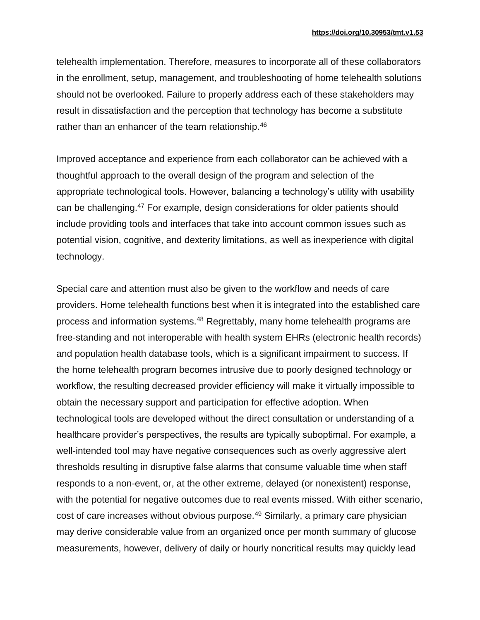telehealth implementation. Therefore, measures to incorporate all of these collaborators in the enrollment, setup, management, and troubleshooting of home telehealth solutions should not be overlooked. Failure to properly address each of these stakeholders may result in dissatisfaction and the perception that technology has become a substitute rather than an enhancer of the team relationship.<sup>46</sup>

Improved acceptance and experience from each collaborator can be achieved with a thoughtful approach to the overall design of the program and selection of the appropriate technological tools. However, balancing a technology's utility with usability can be challenging.<sup>47</sup> For example, design considerations for older patients should include providing tools and interfaces that take into account common issues such as potential vision, cognitive, and dexterity limitations, as well as inexperience with digital technology.

Special care and attention must also be given to the workflow and needs of care providers. Home telehealth functions best when it is integrated into the established care process and information systems.<sup>48</sup> Regrettably, many home telehealth programs are free-standing and not interoperable with health system EHRs (electronic health records) and population health database tools, which is a significant impairment to success. If the home telehealth program becomes intrusive due to poorly designed technology or workflow, the resulting decreased provider efficiency will make it virtually impossible to obtain the necessary support and participation for effective adoption. When technological tools are developed without the direct consultation or understanding of a healthcare provider's perspectives, the results are typically suboptimal. For example, a well-intended tool may have negative consequences such as overly aggressive alert thresholds resulting in disruptive false alarms that consume valuable time when staff responds to a non-event, or, at the other extreme, delayed (or nonexistent) response, with the potential for negative outcomes due to real events missed. With either scenario, cost of care increases without obvious purpose.<sup>49</sup> Similarly, a primary care physician may derive considerable value from an organized once per month summary of glucose measurements, however, delivery of daily or hourly noncritical results may quickly lead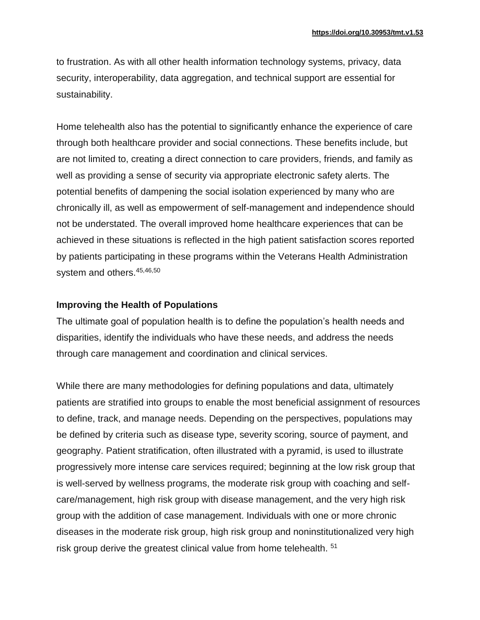to frustration. As with all other health information technology systems, privacy, data security, interoperability, data aggregation, and technical support are essential for sustainability.

Home telehealth also has the potential to significantly enhance the experience of care through both healthcare provider and social connections. These benefits include, but are not limited to, creating a direct connection to care providers, friends, and family as well as providing a sense of security via appropriate electronic safety alerts. The potential benefits of dampening the social isolation experienced by many who are chronically ill, as well as empowerment of self-management and independence should not be understated. The overall improved home healthcare experiences that can be achieved in these situations is reflected in the high patient satisfaction scores reported by patients participating in these programs within the Veterans Health Administration system and others.<sup>45,46,50</sup>

#### **Improving the Health of Populations**

The ultimate goal of population health is to define the population's health needs and disparities, identify the individuals who have these needs, and address the needs through care management and coordination and clinical services.

While there are many methodologies for defining populations and data, ultimately patients are stratified into groups to enable the most beneficial assignment of resources to define, track, and manage needs. Depending on the perspectives, populations may be defined by criteria such as disease type, severity scoring, source of payment, and geography. Patient stratification, often illustrated with a pyramid, is used to illustrate progressively more intense care services required; beginning at the low risk group that is well-served by wellness programs, the moderate risk group with coaching and selfcare/management, high risk group with disease management, and the very high risk group with the addition of case management. Individuals with one or more chronic diseases in the moderate risk group, high risk group and noninstitutionalized very high risk group derive the greatest clinical value from home telehealth. <sup>51</sup>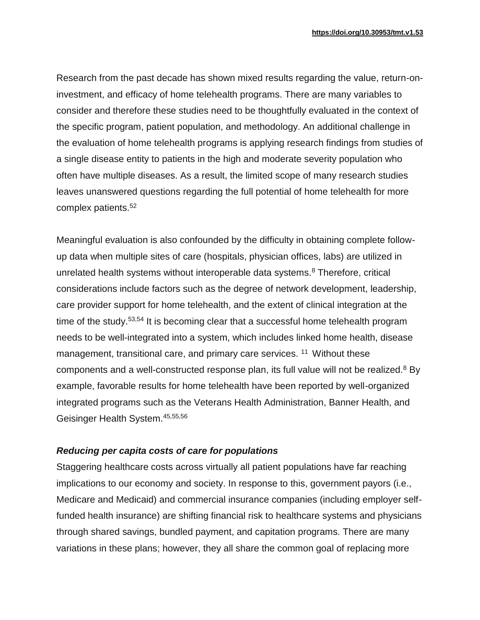Research from the past decade has shown mixed results regarding the value, return-oninvestment, and efficacy of home telehealth programs. There are many variables to consider and therefore these studies need to be thoughtfully evaluated in the context of the specific program, patient population, and methodology. An additional challenge in the evaluation of home telehealth programs is applying research findings from studies of a single disease entity to patients in the high and moderate severity population who often have multiple diseases. As a result, the limited scope of many research studies leaves unanswered questions regarding the full potential of home telehealth for more complex patients.<sup>52</sup>

Meaningful evaluation is also confounded by the difficulty in obtaining complete followup data when multiple sites of care (hospitals, physician offices, labs) are utilized in unrelated health systems without interoperable data systems. $8$  Therefore, critical considerations include factors such as the degree of network development, leadership, care provider support for home telehealth, and the extent of clinical integration at the time of the study.<sup>53,54</sup> It is becoming clear that a successful home telehealth program needs to be well-integrated into a system, which includes linked home health, disease management, transitional care, and primary care services.<sup>11</sup> Without these components and a well-constructed response plan, its full value will not be realized. $8$  By example, favorable results for home telehealth have been reported by well-organized integrated programs such as the Veterans Health Administration, Banner Health, and Geisinger Health System.45,55,56

# *Reducing per capita costs of care for populations*

Staggering healthcare costs across virtually all patient populations have far reaching implications to our economy and society. In response to this, government payors (i.e., Medicare and Medicaid) and commercial insurance companies (including employer selffunded health insurance) are shifting financial risk to healthcare systems and physicians through shared savings, bundled payment, and capitation programs. There are many variations in these plans; however, they all share the common goal of replacing more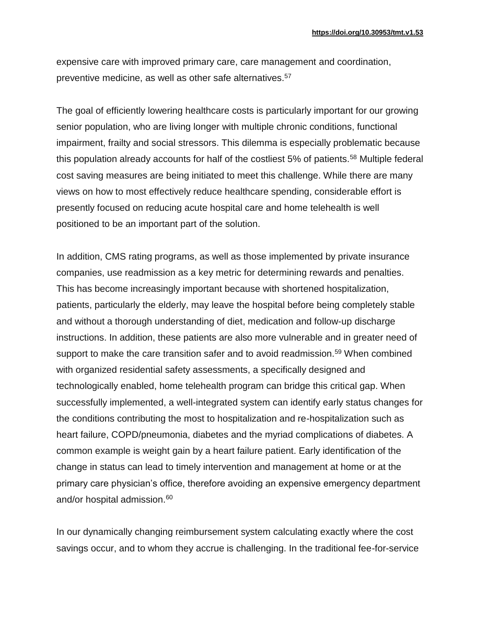expensive care with improved primary care, care management and coordination, preventive medicine, as well as other safe alternatives.<sup>57</sup>

The goal of efficiently lowering healthcare costs is particularly important for our growing senior population, who are living longer with multiple chronic conditions, functional impairment, frailty and social stressors. This dilemma is especially problematic because this population already accounts for half of the costliest 5% of patients.<sup>58</sup> Multiple federal cost saving measures are being initiated to meet this challenge. While there are many views on how to most effectively reduce healthcare spending, considerable effort is presently focused on reducing acute hospital care and home telehealth is well positioned to be an important part of the solution.

In addition, CMS rating programs, as well as those implemented by private insurance companies, use readmission as a key metric for determining rewards and penalties. This has become increasingly important because with shortened hospitalization, patients, particularly the elderly, may leave the hospital before being completely stable and without a thorough understanding of diet, medication and follow-up discharge instructions. In addition, these patients are also more vulnerable and in greater need of support to make the care transition safer and to avoid readmission.<sup>59</sup> When combined with organized residential safety assessments, a specifically designed and technologically enabled, home telehealth program can bridge this critical gap. When successfully implemented, a well-integrated system can identify early status changes for the conditions contributing the most to hospitalization and re-hospitalization such as heart failure, COPD/pneumonia, diabetes and the myriad complications of diabetes. A common example is weight gain by a heart failure patient. Early identification of the change in status can lead to timely intervention and management at home or at the primary care physician's office, therefore avoiding an expensive emergency department and/or hospital admission.<sup>60</sup>

In our dynamically changing reimbursement system calculating exactly where the cost savings occur, and to whom they accrue is challenging. In the traditional fee-for-service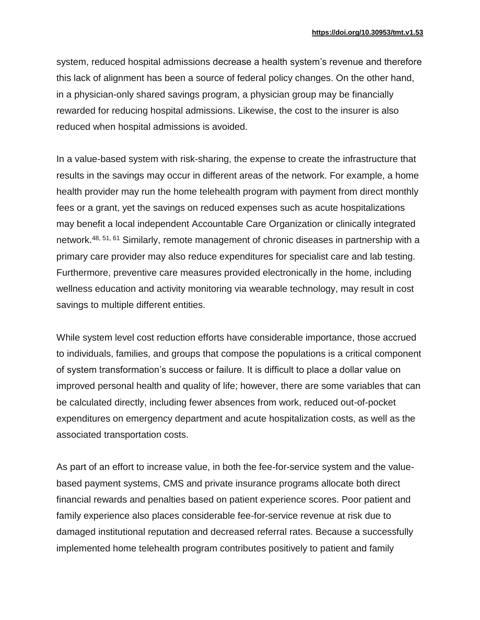system, reduced hospital admissions decrease a health system's revenue and therefore this lack of alignment has been a source of federal policy changes. On the other hand, in a physician-only shared savings program, a physician group may be financially rewarded for reducing hospital admissions. Likewise, the cost to the insurer is also reduced when hospital admissions is avoided.

In a value-based system with risk-sharing, the expense to create the infrastructure that results in the savings may occur in different areas of the network. For example, a home health provider may run the home telehealth program with payment from direct monthly fees or a grant, yet the savings on reduced expenses such as acute hospitalizations may benefit a local independent Accountable Care Organization or clinically integrated network.48, 51, 61 Similarly, remote management of chronic diseases in partnership with a primary care provider may also reduce expenditures for specialist care and lab testing. Furthermore, preventive care measures provided electronically in the home, including wellness education and activity monitoring via wearable technology, may result in cost savings to multiple different entities.

While system level cost reduction efforts have considerable importance, those accrued to individuals, families, and groups that compose the populations is a critical component of system transformation's success or failure. It is difficult to place a dollar value on improved personal health and quality of life; however, there are some variables that can be calculated directly, including fewer absences from work, reduced out-of-pocket expenditures on emergency department and acute hospitalization costs, as well as the associated transportation costs.

As part of an effort to increase value, in both the fee-for-service system and the valuebased payment systems, CMS and private insurance programs allocate both direct financial rewards and penalties based on patient experience scores. Poor patient and family experience also places considerable fee-for-service revenue at risk due to damaged institutional reputation and decreased referral rates. Because a successfully implemented home telehealth program contributes positively to patient and family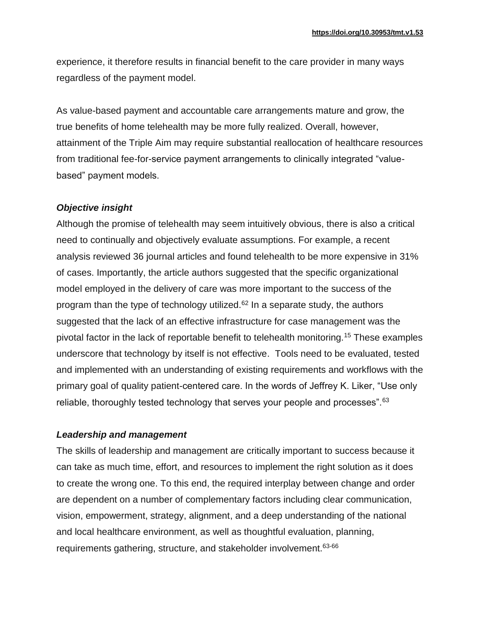experience, it therefore results in financial benefit to the care provider in many ways regardless of the payment model.

As value-based payment and accountable care arrangements mature and grow, the true benefits of home telehealth may be more fully realized. Overall, however, attainment of the Triple Aim may require substantial reallocation of healthcare resources from traditional fee-for-service payment arrangements to clinically integrated "valuebased" payment models.

# *Objective insight*

Although the promise of telehealth may seem intuitively obvious, there is also a critical need to continually and objectively evaluate assumptions. For example, a recent analysis reviewed 36 journal articles and found telehealth to be more expensive in 31% of cases. Importantly, the article authors suggested that the specific organizational model employed in the delivery of care was more important to the success of the program than the type of technology utilized. $62$  In a separate study, the authors suggested that the lack of an effective infrastructure for case management was the pivotal factor in the lack of reportable benefit to telehealth monitoring.<sup>15</sup> These examples underscore that technology by itself is not effective. Tools need to be evaluated, tested and implemented with an understanding of existing requirements and workflows with the primary goal of quality patient-centered care. In the words of Jeffrey K. Liker, "Use only reliable, thoroughly tested technology that serves your people and processes". 63

# *Leadership and management*

The skills of leadership and management are critically important to success because it can take as much time, effort, and resources to implement the right solution as it does to create the wrong one. To this end, the required interplay between change and order are dependent on a number of complementary factors including clear communication, vision, empowerment, strategy, alignment, and a deep understanding of the national and local healthcare environment, as well as thoughtful evaluation, planning, requirements gathering, structure, and stakeholder involvement.63-66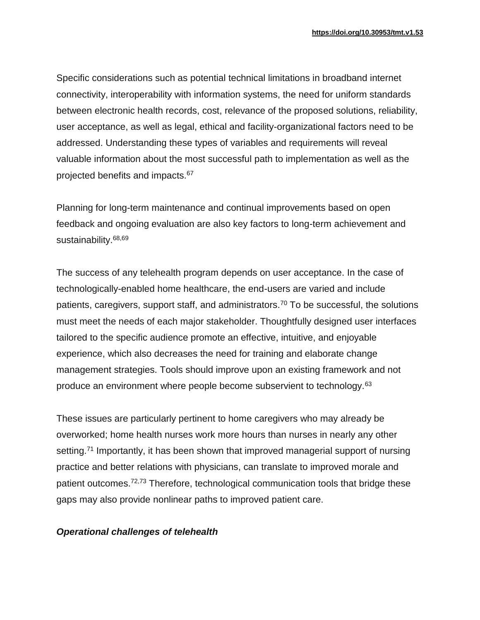Specific considerations such as potential technical limitations in broadband internet connectivity, interoperability with information systems, the need for uniform standards between electronic health records, cost, relevance of the proposed solutions, reliability, user acceptance, as well as legal, ethical and facility-organizational factors need to be addressed. Understanding these types of variables and requirements will reveal valuable information about the most successful path to implementation as well as the projected benefits and impacts.<sup>67</sup>

Planning for long-term maintenance and continual improvements based on open feedback and ongoing evaluation are also key factors to long-term achievement and sustainability.<sup>68,69</sup>

The success of any telehealth program depends on user acceptance. In the case of technologically-enabled home healthcare, the end-users are varied and include patients, caregivers, support staff, and administrators.<sup>70</sup> To be successful, the solutions must meet the needs of each major stakeholder. Thoughtfully designed user interfaces tailored to the specific audience promote an effective, intuitive, and enjoyable experience, which also decreases the need for training and elaborate change management strategies. Tools should improve upon an existing framework and not produce an environment where people become subservient to technology.<sup>63</sup>

These issues are particularly pertinent to home caregivers who may already be overworked; home health nurses work more hours than nurses in nearly any other setting.<sup>71</sup> Importantly, it has been shown that improved managerial support of nursing practice and better relations with physicians, can translate to improved morale and patient outcomes.<sup>72,73</sup> Therefore, technological communication tools that bridge these gaps may also provide nonlinear paths to improved patient care.

#### *Operational challenges of telehealth*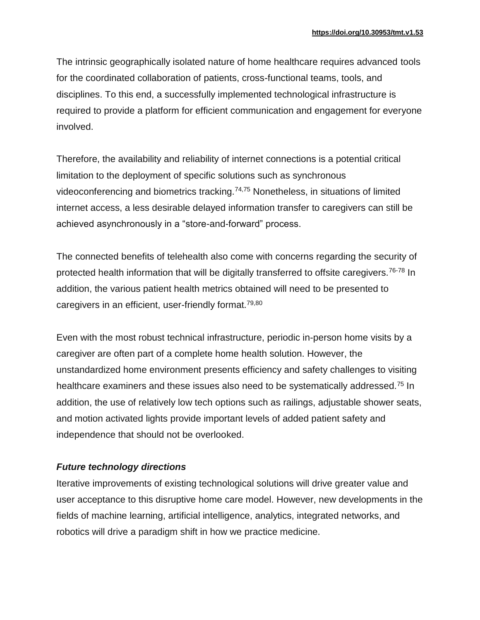The intrinsic geographically isolated nature of home healthcare requires advanced tools for the coordinated collaboration of patients, cross-functional teams, tools, and disciplines. To this end, a successfully implemented technological infrastructure is required to provide a platform for efficient communication and engagement for everyone involved.

Therefore, the availability and reliability of internet connections is a potential critical limitation to the deployment of specific solutions such as synchronous videoconferencing and biometrics tracking.74,75 Nonetheless, in situations of limited internet access, a less desirable delayed information transfer to caregivers can still be achieved asynchronously in a "store-and-forward" process.

The connected benefits of telehealth also come with concerns regarding the security of protected health information that will be digitally transferred to offsite caregivers.<sup>76-78</sup> In addition, the various patient health metrics obtained will need to be presented to caregivers in an efficient, user-friendly format.79,80

Even with the most robust technical infrastructure, periodic in-person home visits by a caregiver are often part of a complete home health solution. However, the unstandardized home environment presents efficiency and safety challenges to visiting healthcare examiners and these issues also need to be systematically addressed.<sup>75</sup> In addition, the use of relatively low tech options such as railings, adjustable shower seats, and motion activated lights provide important levels of added patient safety and independence that should not be overlooked.

# *Future technology directions*

Iterative improvements of existing technological solutions will drive greater value and user acceptance to this disruptive home care model. However, new developments in the fields of machine learning, artificial intelligence, analytics, integrated networks, and robotics will drive a paradigm shift in how we practice medicine.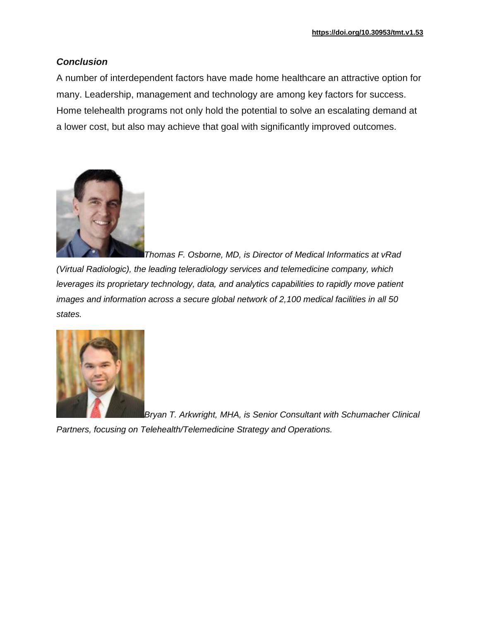### *Conclusion*

A number of interdependent factors have made home healthcare an attractive option for many. Leadership, management and technology are among key factors for success. Home telehealth programs not only hold the potential to solve an escalating demand at a lower cost, but also may achieve that goal with significantly improved outcomes.



*Thomas F. Osborne, MD, is Director of Medical Informatics at vRad (Virtual Radiologic), the leading teleradiology services and telemedicine company, which leverages its proprietary technology, data, and analytics capabilities to rapidly move patient images and information across a secure global network of 2,100 medical facilities in all 50 states.*



*Bryan T. Arkwright, MHA, is Senior Consultant with Schumacher Clinical* 

*Partners, focusing on Telehealth/Telemedicine Strategy and Operations.*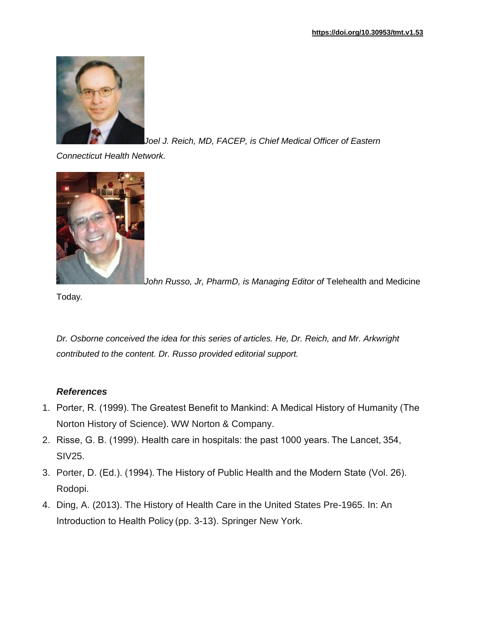

Joel J. Reich, MD, FACEP, is Chief Medical Officer of Eastern

*Connecticut Health Network.*



John Russo, Jr, PharmD, is Managing Editor of Telehealth and Medicine

Today*.*

*Dr. Osborne conceived the idea for this series of articles. He, Dr. Reich, and Mr. Arkwright contributed to the content. Dr. Russo provided editorial support.*

# *References*

- 1. Porter, R. (1999). The Greatest Benefit to Mankind: A Medical History of Humanity (The Norton History of Science). WW Norton & Company.
- 2. Risse, G. B. (1999). Health care in hospitals: the past 1000 years. The Lancet, 354, SIV25.
- 3. Porter, D. (Ed.). (1994). The History of Public Health and the Modern State (Vol. 26). Rodopi.
- 4. Ding, A. (2013). The History of Health Care in the United States Pre-1965. In: An Introduction to Health Policy (pp. 3-13). Springer New York.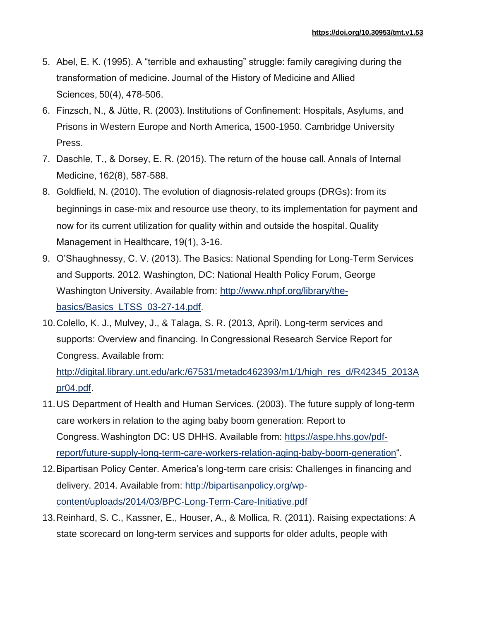- 5. Abel, E. K. (1995). A "terrible and exhausting" struggle: family caregiving during the transformation of medicine. Journal of the History of Medicine and Allied Sciences, 50(4), 478-506.
- 6. Finzsch, N., & Jütte, R. (2003). Institutions of Confinement: Hospitals, Asylums, and Prisons in Western Europe and North America, 1500-1950. Cambridge University Press.
- 7. Daschle, T., & Dorsey, E. R. (2015). The return of the house call. Annals of Internal Medicine, 162(8), 587-588.
- 8. Goldfield, N. (2010). The evolution of diagnosis‐related groups (DRGs): from its beginnings in case‐mix and resource use theory, to its implementation for payment and now for its current utilization for quality within and outside the hospital. Quality Management in Healthcare, 19(1), 3-16.
- 9. O'Shaughnessy, C. V. (2013). The Basics: National Spending for Long-Term Services and Supports. 2012. Washington, DC: National Health Policy Forum, George Washington University. Available from: [http://www.nhpf.org/library/the](http://www.nhpf.org/library/the-basics/Basics_LTSS_03-27-14.pdf)[basics/Basics\\_LTSS\\_03-27-14.pdf.](http://www.nhpf.org/library/the-basics/Basics_LTSS_03-27-14.pdf)
- 10.Colello, K. J., Mulvey, J., & Talaga, S. R. (2013, April). Long-term services and supports: Overview and financing. In Congressional Research Service Report for Congress. Available from:

[http://digital.library.unt.edu/ark:/67531/metadc462393/m1/1/high\\_res\\_d/R42345\\_2013A](http://digital.library.unt.edu/ark:/67531/metadc462393/m1/1/high_res_d/R42345_2013Apr04.pdf) [pr04.pdf.](http://digital.library.unt.edu/ark:/67531/metadc462393/m1/1/high_res_d/R42345_2013Apr04.pdf)

- 11.US Department of Health and Human Services. (2003). The future supply of long-term care workers in relation to the aging baby boom generation: Report to Congress. Washington DC: US DHHS. Available from: [https://aspe.hhs.gov/pdf](https://aspe.hhs.gov/pdf-report/future-supply-long-term-care-workers-relation-aging-baby-boom-generation)[report/future-supply-long-term-care-workers-relation-aging-baby-boom-generation"](https://aspe.hhs.gov/pdf-report/future-supply-long-term-care-workers-relation-aging-baby-boom-generation).
- 12.Bipartisan Policy Center. America's long-term care crisis: Challenges in financing and delivery. 2014. Available from: [http://bipartisanpolicy.org/wp](http://bipartisanpolicy.org/wp-content/uploads/2014/03/BPC-Long-Term-Care-Initiative.pdf)[content/uploads/2014/03/BPC-Long-Term-Care-Initiative.pdf](http://bipartisanpolicy.org/wp-content/uploads/2014/03/BPC-Long-Term-Care-Initiative.pdf)
- 13.Reinhard, S. C., Kassner, E., Houser, A., & Mollica, R. (2011). Raising expectations: A state scorecard on long-term services and supports for older adults, people with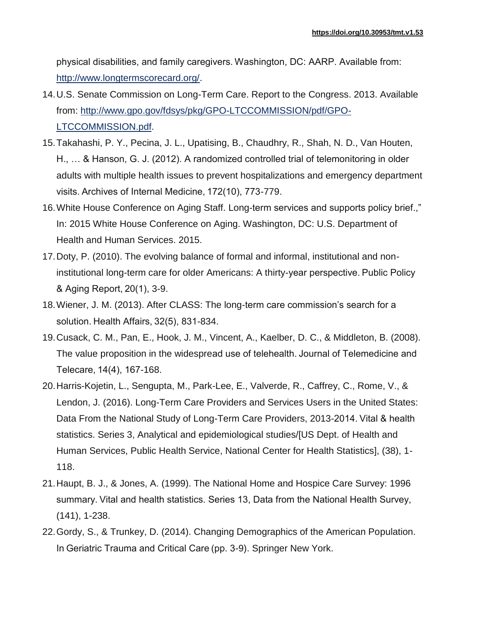physical disabilities, and family caregivers. Washington, DC: AARP. Available from: [http://www.longtermscorecard.org/.](http://www.longtermscorecard.org/)

- 14.U.S. Senate Commission on Long-Term Care. Report to the Congress. 2013. Available from: [http://www.gpo.gov/fdsys/pkg/GPO-LTCCOMMISSION/pdf/GPO-](http://www.gpo.gov/fdsys/pkg/GPO-LTCCOMMISSION/pdf/GPO-LTCCOMMISSION.pdf)[LTCCOMMISSION.pdf.](http://www.gpo.gov/fdsys/pkg/GPO-LTCCOMMISSION/pdf/GPO-LTCCOMMISSION.pdf)
- 15.Takahashi, P. Y., Pecina, J. L., Upatising, B., Chaudhry, R., Shah, N. D., Van Houten, H., … & Hanson, G. J. (2012). A randomized controlled trial of telemonitoring in older adults with multiple health issues to prevent hospitalizations and emergency department visits. Archives of Internal Medicine, 172(10), 773-779.
- 16.White House Conference on Aging Staff. Long-term services and supports policy brief.," In: 2015 White House Conference on Aging. Washington, DC: U.S. Department of Health and Human Services. 2015.
- 17.Doty, P. (2010). The evolving balance of formal and informal, institutional and noninstitutional long-term care for older Americans: A thirty-year perspective. Public Policy & Aging Report, 20(1), 3-9.
- 18.Wiener, J. M. (2013). After CLASS: The long-term care commission's search for a solution. Health Affairs, 32(5), 831-834.
- 19.Cusack, C. M., Pan, E., Hook, J. M., Vincent, A., Kaelber, D. C., & Middleton, B. (2008). The value proposition in the widespread use of telehealth. Journal of Telemedicine and Telecare, 14(4), 167-168.
- 20.Harris-Kojetin, L., Sengupta, M., Park-Lee, E., Valverde, R., Caffrey, C., Rome, V., & Lendon, J. (2016). Long-Term Care Providers and Services Users in the United States: Data From the National Study of Long-Term Care Providers, 2013-2014. Vital & health statistics. Series 3, Analytical and epidemiological studies/[US Dept. of Health and Human Services, Public Health Service, National Center for Health Statistics], (38), 1- 118.
- 21.Haupt, B. J., & Jones, A. (1999). The National Home and Hospice Care Survey: 1996 summary. Vital and health statistics. Series 13, Data from the National Health Survey, (141), 1-238.
- 22.Gordy, S., & Trunkey, D. (2014). Changing Demographics of the American Population. In Geriatric Trauma and Critical Care (pp. 3-9). Springer New York.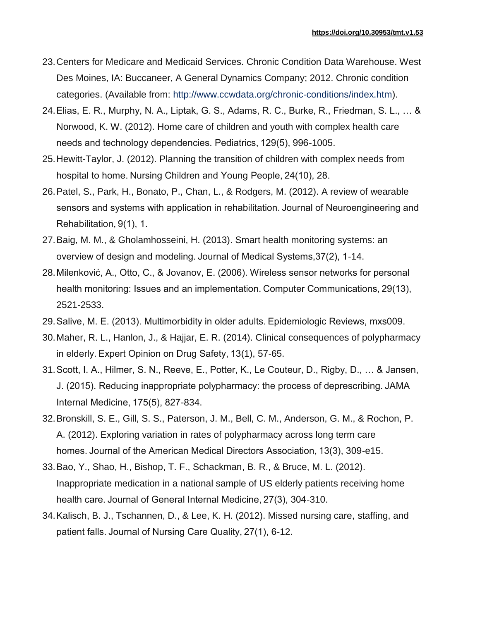- 23.Centers for Medicare and Medicaid Services. Chronic Condition Data Warehouse. West Des Moines, IA: Buccaneer, A General Dynamics Company; 2012. Chronic condition categories. (Available from: [http://www.ccwdata.org/chronic-conditions/index.htm\)](http://www.ccwdata.org/chronic-conditions/index.htm).
- 24.Elias, E. R., Murphy, N. A., Liptak, G. S., Adams, R. C., Burke, R., Friedman, S. L., … & Norwood, K. W. (2012). Home care of children and youth with complex health care needs and technology dependencies. Pediatrics, 129(5), 996-1005.
- 25.Hewitt-Taylor, J. (2012). Planning the transition of children with complex needs from hospital to home. Nursing Children and Young People, 24(10), 28.
- 26.Patel, S., Park, H., Bonato, P., Chan, L., & Rodgers, M. (2012). A review of wearable sensors and systems with application in rehabilitation. Journal of Neuroengineering and Rehabilitation, 9(1), 1.
- 27.Baig, M. M., & Gholamhosseini, H. (2013). Smart health monitoring systems: an overview of design and modeling. Journal of Medical Systems,37(2), 1-14.
- 28.Milenković, A., Otto, C., & Jovanov, E. (2006). Wireless sensor networks for personal health monitoring: Issues and an implementation. Computer Communications, 29(13), 2521-2533.
- 29.Salive, M. E. (2013). Multimorbidity in older adults. Epidemiologic Reviews, mxs009.
- 30.Maher, R. L., Hanlon, J., & Hajjar, E. R. (2014). Clinical consequences of polypharmacy in elderly. Expert Opinion on Drug Safety, 13(1), 57-65.
- 31.Scott, I. A., Hilmer, S. N., Reeve, E., Potter, K., Le Couteur, D., Rigby, D., … & Jansen, J. (2015). Reducing inappropriate polypharmacy: the process of deprescribing. JAMA Internal Medicine, 175(5), 827-834.
- 32.Bronskill, S. E., Gill, S. S., Paterson, J. M., Bell, C. M., Anderson, G. M., & Rochon, P. A. (2012). Exploring variation in rates of polypharmacy across long term care homes. Journal of the American Medical Directors Association, 13(3), 309-e15.
- 33.Bao, Y., Shao, H., Bishop, T. F., Schackman, B. R., & Bruce, M. L. (2012). Inappropriate medication in a national sample of US elderly patients receiving home health care. Journal of General Internal Medicine, 27(3), 304-310.
- 34.Kalisch, B. J., Tschannen, D., & Lee, K. H. (2012). Missed nursing care, staffing, and patient falls. Journal of Nursing Care Quality, 27(1), 6-12.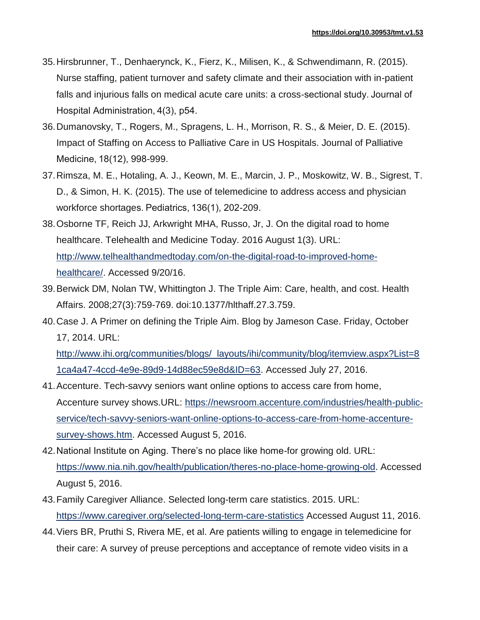- 35.Hirsbrunner, T., Denhaerynck, K., Fierz, K., Milisen, K., & Schwendimann, R. (2015). Nurse staffing, patient turnover and safety climate and their association with in-patient falls and injurious falls on medical acute care units: a cross-sectional study. Journal of Hospital Administration, 4(3), p54.
- 36.Dumanovsky, T., Rogers, M., Spragens, L. H., Morrison, R. S., & Meier, D. E. (2015). Impact of Staffing on Access to Palliative Care in US Hospitals. Journal of Palliative Medicine, 18(12), 998-999.
- 37.Rimsza, M. E., Hotaling, A. J., Keown, M. E., Marcin, J. P., Moskowitz, W. B., Sigrest, T. D., & Simon, H. K. (2015). The use of telemedicine to address access and physician workforce shortages. Pediatrics, 136(1), 202-209.
- 38.Osborne TF, Reich JJ, Arkwright MHA, Russo, Jr, J. On the digital road to home healthcare. Telehealth and Medicine Today. 2016 August 1(3). URL: [http://www.telhealthandmedtoday.com/on-the-digital-road-to-improved-home](http://www.telhealthandmedtoday.com/on-the-digital-road-to-improved-home-healthcare/)[healthcare/.](http://www.telhealthandmedtoday.com/on-the-digital-road-to-improved-home-healthcare/) Accessed 9/20/16.
- 39.Berwick DM, Nolan TW, Whittington J. The Triple Aim: Care, health, and cost. Health Affairs. 2008;27(3):759-769. doi:10.1377/hlthaff.27.3.759.
- 40.Case J. A Primer on defining the Triple Aim. Blog by Jameson Case. Friday, October 17, 2014. URL:

[http://www.ihi.org/communities/blogs/\\_layouts/ihi/community/blog/itemview.aspx?List=8](http://www.ihi.org/communities/blogs/_layouts/ihi/community/blog/itemview.aspx?List=81ca4a47-4ccd-4e9e-89d9-14d88ec59e8d&ID=63) [1ca4a47-4ccd-4e9e-89d9-14d88ec59e8d&ID=63.](http://www.ihi.org/communities/blogs/_layouts/ihi/community/blog/itemview.aspx?List=81ca4a47-4ccd-4e9e-89d9-14d88ec59e8d&ID=63) Accessed July 27, 2016.

- 41.Accenture. Tech-savvy seniors want online options to access care from home, Accenture survey shows.URL: [https://newsroom.accenture.com/industries/health-public](https://newsroom.accenture.com/industries/health-public-service/tech-savvy-seniors-want-online-options-to-access-care-from-home-accenture-survey-shows.htm)[service/tech-savvy-seniors-want-online-options-to-access-care-from-home-accenture](https://newsroom.accenture.com/industries/health-public-service/tech-savvy-seniors-want-online-options-to-access-care-from-home-accenture-survey-shows.htm)[survey-shows.htm.](https://newsroom.accenture.com/industries/health-public-service/tech-savvy-seniors-want-online-options-to-access-care-from-home-accenture-survey-shows.htm) Accessed August 5, 2016.
- 42.National Institute on Aging. There's no place like home-for growing old. URL: [https://www.nia.nih.gov/health/publication/theres-no-place-home-growing-old.](https://www.nia.nih.gov/health/publication/theres-no-place-home-growing-old) Accessed August 5, 2016.
- 43.Family Caregiver Alliance. Selected long-term care statistics. 2015. URL: <https://www.caregiver.org/selected-long-term-care-statistics> Accessed August 11, 2016.
- 44.Viers BR, Pruthi S, Rivera ME, et al. Are patients willing to engage in telemedicine for their care: A survey of preuse perceptions and acceptance of remote video visits in a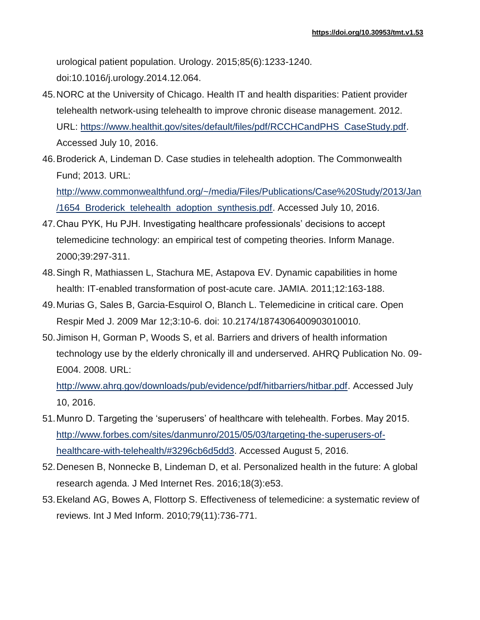urological patient population. Urology. 2015;85(6):1233-1240. doi:10.1016/j.urology.2014.12.064.

- 45.NORC at the University of Chicago. Health IT and health disparities: Patient provider telehealth network-using telehealth to improve chronic disease management. 2012. URL: [https://www.healthit.gov/sites/default/files/pdf/RCCHCandPHS\\_CaseStudy.pdf.](https://www.healthit.gov/sites/default/files/pdf/RCCHCandPHS_CaseStudy.pdf) Accessed July 10, 2016.
- 46.Broderick A, Lindeman D. Case studies in telehealth adoption. The Commonwealth Fund; 2013. URL:

[http://www.commonwealthfund.org/~/media/Files/Publications/Case%20Study/2013/Jan](http://www.commonwealthfund.org/~/media/Files/Publications/Case%20Study/2013/Jan/1654_Broderick_telehealth_adoption_synthesis.pdf) [/1654\\_Broderick\\_telehealth\\_adoption\\_synthesis.pdf.](http://www.commonwealthfund.org/~/media/Files/Publications/Case%20Study/2013/Jan/1654_Broderick_telehealth_adoption_synthesis.pdf) Accessed July 10, 2016.

- 47.Chau PYK, Hu PJH. Investigating healthcare professionals' decisions to accept telemedicine technology: an empirical test of competing theories. Inform Manage. 2000;39:297-311.
- 48.Singh R, Mathiassen L, Stachura ME, Astapova EV. Dynamic capabilities in home health: IT-enabled transformation of post-acute care. JAMIA. 2011;12:163-188.
- 49.Murias G, Sales B, Garcia-Esquirol O, Blanch L. Telemedicine in critical care. Open Respir Med J. 2009 Mar 12;3:10-6. doi: 10.2174/1874306400903010010.
- 50.Jimison H, Gorman P, Woods S, et al. Barriers and drivers of health information technology use by the elderly chronically ill and underserved. AHRQ Publication No. 09- E004. 2008. URL:

[http://www.ahrq.gov/downloads/pub/evidence/pdf/hitbarriers/hitbar.pdf.](http://www.ahrq.gov/downloads/pub/evidence/pdf/hitbarriers/hitbar.pdf) Accessed July 10, 2016.

- 51.Munro D. Targeting the 'superusers' of healthcare with telehealth. Forbes. May 2015. [http://www.forbes.com/sites/danmunro/2015/05/03/targeting-the-superusers-of](http://www.forbes.com/sites/danmunro/2015/05/03/targeting-the-superusers-of-healthcare-with-telehealth/#3296cb6d5dd3)[healthcare-with-telehealth/#3296cb6d5dd3.](http://www.forbes.com/sites/danmunro/2015/05/03/targeting-the-superusers-of-healthcare-with-telehealth/#3296cb6d5dd3) Accessed August 5, 2016.
- 52.Denesen B, Nonnecke B, Lindeman D, et al. Personalized health in the future: A global research agenda. J Med Internet Res. 2016;18(3):e53.
- 53.Ekeland AG, Bowes A, Flottorp S. Effectiveness of telemedicine: a systematic review of reviews. Int J Med Inform. 2010;79(11):736-771.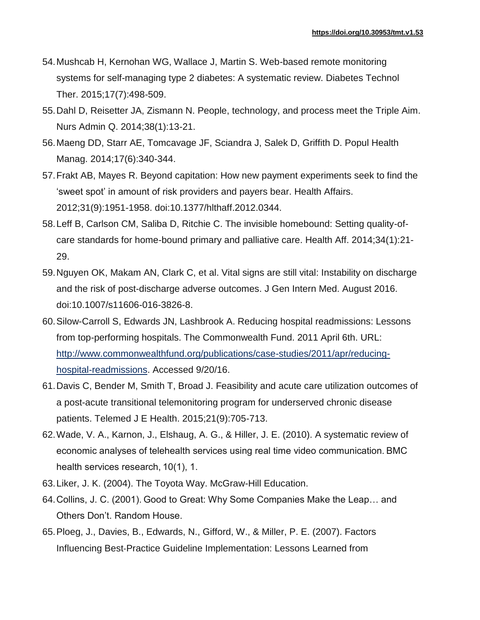- 54.Mushcab H, Kernohan WG, Wallace J, Martin S. Web-based remote monitoring systems for self-managing type 2 diabetes: A systematic review. Diabetes Technol Ther. 2015;17(7):498-509.
- 55.Dahl D, Reisetter JA, Zismann N. People, technology, and process meet the Triple Aim. Nurs Admin Q. 2014;38(1):13-21.
- 56.Maeng DD, Starr AE, Tomcavage JF, Sciandra J, Salek D, Griffith D. Popul Health Manag. 2014;17(6):340-344.
- 57.Frakt AB, Mayes R. Beyond capitation: How new payment experiments seek to find the 'sweet spot' in amount of risk providers and payers bear. Health Affairs. 2012;31(9):1951-1958. doi:10.1377/hlthaff.2012.0344.
- 58.Leff B, Carlson CM, Saliba D, Ritchie C. The invisible homebound: Setting quality-ofcare standards for home-bound primary and palliative care. Health Aff. 2014;34(1):21- 29.
- 59.Nguyen OK, Makam AN, Clark C, et al. Vital signs are still vital: Instability on discharge and the risk of post-discharge adverse outcomes. J Gen Intern Med. August 2016. doi:10.1007/s11606-016-3826-8.
- 60.Silow-Carroll S, Edwards JN, Lashbrook A. Reducing hospital readmissions: Lessons from top-performing hospitals. The Commonwealth Fund. 2011 April 6th. URL: [http://www.commonwealthfund.org/publications/case-studies/2011/apr/reducing](http://www.commonwealthfund.org/publications/case-studies/2011/apr/reducing-hospital-readmissions)[hospital-readmissions.](http://www.commonwealthfund.org/publications/case-studies/2011/apr/reducing-hospital-readmissions) Accessed 9/20/16.
- 61.Davis C, Bender M, Smith T, Broad J. Feasibility and acute care utilization outcomes of a post-acute transitional telemonitoring program for underserved chronic disease patients. Telemed J E Health. 2015;21(9):705-713.
- 62.Wade, V. A., Karnon, J., Elshaug, A. G., & Hiller, J. E. (2010). A systematic review of economic analyses of telehealth services using real time video communication. BMC health services research, 10(1), 1.
- 63.Liker, J. K. (2004). The Toyota Way. McGraw-Hill Education.
- 64.Collins, J. C. (2001). Good to Great: Why Some Companies Make the Leap… and Others Don't. Random House.
- 65.Ploeg, J., Davies, B., Edwards, N., Gifford, W., & Miller, P. E. (2007). Factors Influencing Best‐Practice Guideline Implementation: Lessons Learned from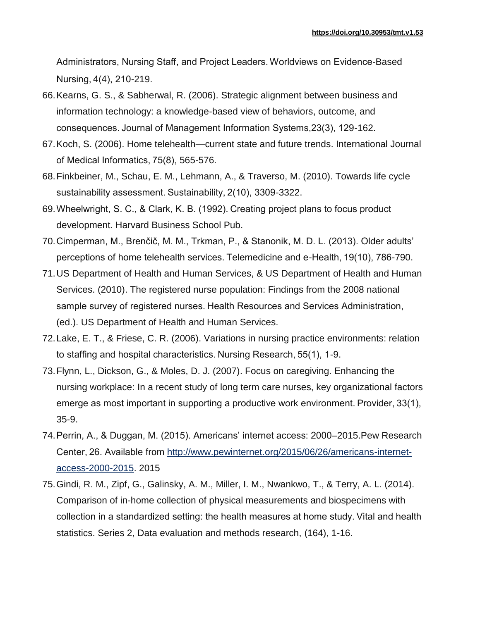Administrators, Nursing Staff, and Project Leaders. Worldviews on Evidence‐Based Nursing, 4(4), 210-219.

- 66.Kearns, G. S., & Sabherwal, R. (2006). Strategic alignment between business and information technology: a knowledge-based view of behaviors, outcome, and consequences. Journal of Management Information Systems,23(3), 129-162.
- 67.Koch, S. (2006). Home telehealth—current state and future trends. International Journal of Medical Informatics, 75(8), 565-576.
- 68.Finkbeiner, M., Schau, E. M., Lehmann, A., & Traverso, M. (2010). Towards life cycle sustainability assessment. Sustainability, 2(10), 3309-3322.
- 69.Wheelwright, S. C., & Clark, K. B. (1992). Creating project plans to focus product development. Harvard Business School Pub.
- 70.Cimperman, M., Brenčič, M. M., Trkman, P., & Stanonik, M. D. L. (2013). Older adults' perceptions of home telehealth services. Telemedicine and e-Health, 19(10), 786-790.
- 71.US Department of Health and Human Services, & US Department of Health and Human Services. (2010). The registered nurse population: Findings from the 2008 national sample survey of registered nurses. Health Resources and Services Administration, (ed.). US Department of Health and Human Services.
- 72.Lake, E. T., & Friese, C. R. (2006). Variations in nursing practice environments: relation to staffing and hospital characteristics. Nursing Research, 55(1), 1-9.
- 73.Flynn, L., Dickson, G., & Moles, D. J. (2007). Focus on caregiving. Enhancing the nursing workplace: In a recent study of long term care nurses, key organizational factors emerge as most important in supporting a productive work environment. Provider, 33(1), 35-9.
- 74.Perrin, A., & Duggan, M. (2015). Americans' internet access: 2000–2015.Pew Research Center, 26. Available from [http://www.pewinternet.org/2015/06/26/americans-internet](http://www.pewinternet.org/2015/06/26/americans-internet-access-2000-2015)[access-2000-2015.](http://www.pewinternet.org/2015/06/26/americans-internet-access-2000-2015) 2015
- 75.Gindi, R. M., Zipf, G., Galinsky, A. M., Miller, I. M., Nwankwo, T., & Terry, A. L. (2014). Comparison of in-home collection of physical measurements and biospecimens with collection in a standardized setting: the health measures at home study. Vital and health statistics. Series 2, Data evaluation and methods research, (164), 1-16.